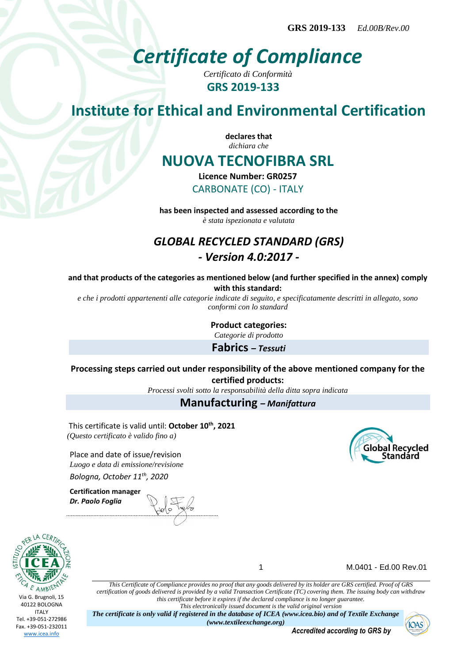# *Certificate of Compliance*

*Certificato di Conformità* **GRS 2019-133**

# **Institute for Ethical and Environmental Certification**

**declares that** *dichiara che*

## **NUOVA TECNOFIBRA SRL**

**Licence Number: GR0257** CARBONATE (CO) - ITALY

**has been inspected and assessed according to the** *è stata ispezionata e valutata*

### *GLOBAL RECYCLED STANDARD (GRS) - Version 4.0:2017 -*

**and that products of the categories as mentioned below (and further specified in the annex) comply with this standard:**

*e che i prodotti appartenenti alle categorie indicate di seguito, e specificatamente descritti in allegato, sono conformi con lo standard*

**Product categories:**

*Categorie di prodotto*

**Fabrics** *– Tessuti*

#### **Processing steps carried out under responsibility of the above mentioned company for the certified products:**

*Processi svolti sotto la responsabilità della ditta sopra indicata*

#### **Manufacturing** *– Manifattura*

This certificate is valid until: **October 10th, 2021** *(Questo certificato è valido fino a)*

Place and date of issue/revision *Luogo e data di emissione/revisione Bologna, October 11th, 2020*

**Certification manager** *Dr. Paolo Foglia*



1 M.0401 - Ed.00 Rev.01

**Global Recycled Standard** 

*This Certificate of Compliance provides no proof that any goods delivered by its holder are GRS certified. Proof of GRS certification of goods delivered is provided by a valid Transaction Certificate (TC) covering them. The issuing body can withdraw this certificate before it expires if the declared compliance is no longer guarantee. This electronically issued document is the valid original version*

*The certificate is only valid if registered in the database of ICEA (www.icea.bio) and of Textile Exchange (www.textileexchange.org)*

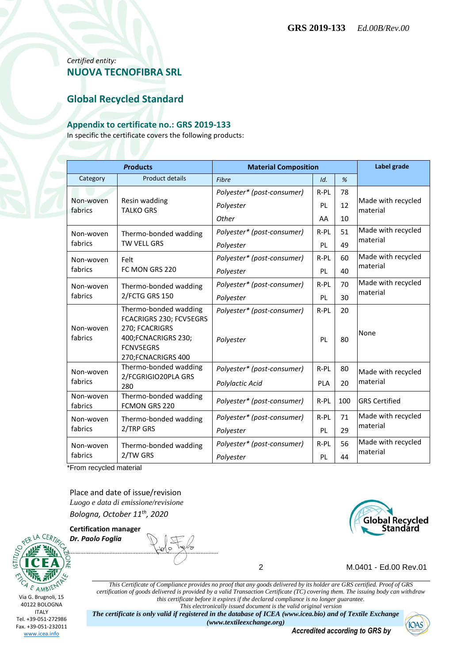#### *Certified entity:* **NUOVA TECNOFIBRA SRL**

#### **Global Recycled Standard**

#### **Appendix to certificate no.: GRS 2019-133**

In specific the certificate covers the following products:

| <b>Products</b>      |                                                                                                              | <b>Material Composition</b> |            |     | Label grade                    |
|----------------------|--------------------------------------------------------------------------------------------------------------|-----------------------------|------------|-----|--------------------------------|
| Category             | <b>Product details</b>                                                                                       | Fibre                       | Id.        | %   |                                |
| Non-woven<br>fabrics | Resin wadding<br><b>TALKO GRS</b>                                                                            | Polyester* (post-consumer)  | $R-PL$     | 78  | Made with recycled<br>material |
|                      |                                                                                                              | Polyester                   | <b>PL</b>  | 12  |                                |
|                      |                                                                                                              | Other                       | AA         | 10  |                                |
| Non-woven<br>fabrics | Thermo-bonded wadding<br>TW VELL GRS                                                                         | Polyester* (post-consumer)  | R-PL       | 51  | Made with recycled<br>material |
|                      |                                                                                                              | Polyester                   | <b>PL</b>  | 49  |                                |
| Non-woven<br>fabrics | Felt<br>FC MON GRS 220                                                                                       | Polyester* (post-consumer)  | R-PL       | 60  | Made with recycled<br>material |
|                      |                                                                                                              | Polyester                   | <b>PL</b>  | 40  |                                |
| Non-woven<br>fabrics | Thermo-bonded wadding<br>2/FCTG GRS 150                                                                      | Polyester* (post-consumer)  | R-PL       | 70  | Made with recycled<br>material |
|                      |                                                                                                              | Polyester                   | PL         | 30  |                                |
|                      | Thermo-bonded wadding                                                                                        | Polyester* (post-consumer)  | $R-PL$     | 20  |                                |
| Non-woven<br>fabrics | FCACRIGRS 230; FCV5EGRS<br>270; FCACRIGRS<br>400; FCNACRIGRS 230;<br><b>FCNV5EGRS</b><br>270; FCNACRIGRS 400 | Polyester                   | PL         | 80  | None                           |
| Non-woven<br>fabrics | Thermo-bonded wadding<br>2/FCGRIGIO20PLA GRS<br>280                                                          | Polyester* (post-consumer)  | R-PL       | 80  | Made with recycled<br>material |
|                      |                                                                                                              | Polylactic Acid             | <b>PLA</b> | 20  |                                |
| Non-woven<br>fabrics | Thermo-bonded wadding<br><b>FCMON GRS 220</b>                                                                | Polyester* (post-consumer)  | R-PL       | 100 | <b>GRS Certified</b>           |
| Non-woven<br>fabrics | Thermo-bonded wadding<br>2/TRP GRS                                                                           | Polyester* (post-consumer)  | R-PL       | 71  | Made with recycled             |
|                      |                                                                                                              | Polyester                   | <b>PL</b>  | 29  | material                       |
| Non-woven<br>fabrics | Thermo-bonded wadding<br>2/TW GRS                                                                            | Polyester* (post-consumer)  | $R-PL$     | 56  | Made with recycled             |
|                      |                                                                                                              | Polyester                   | PL         | 44  | material                       |

\*From recycled material

Place and date of issue/revision *Luogo e data di emissione/revisione Bologna, October 11th, 2020*





*Dr. Paolo Foglia*



2 M.0401 - Ed.00 Rev.01

*This Certificate of Compliance provides no proof that any goods delivered by its holder are GRS certified. Proof of GRS certification of goods delivered is provided by a valid Transaction Certificate (TC) covering them. The issuing body can withdraw this certificate before it expires if the declared compliance is no longer guarantee. This electronically issued document is the valid original version*

*The certificate is only valid if registered in the database of ICEA (www.icea.bio) and of Textile Exchange (www.textileexchange.org)*

*Accredited according to GRS by*